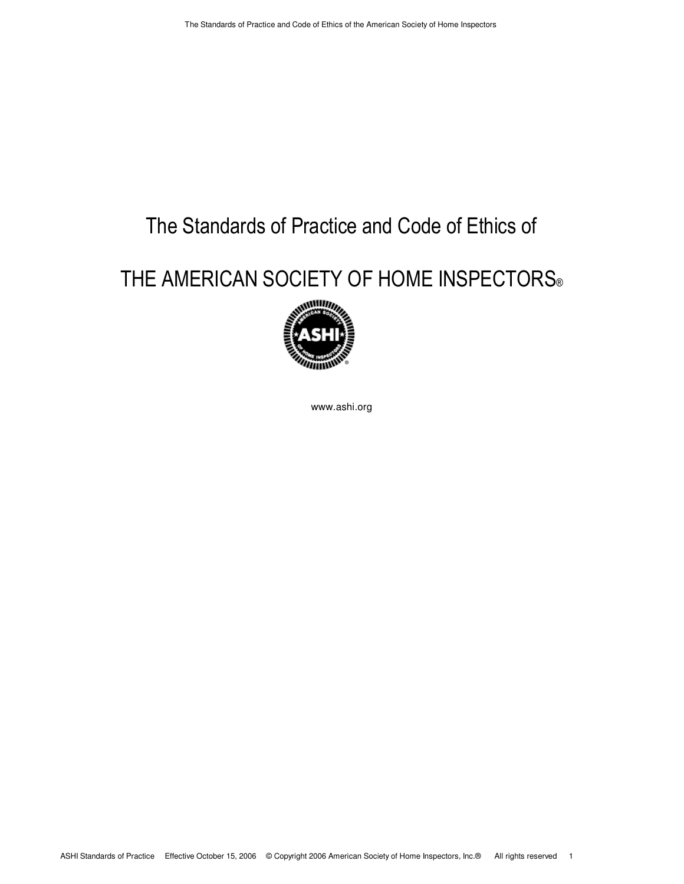# The Standards of Practice and Code of Ethics of

# THE AMERICAN SOCIETY OF HOME INSPECTORS®



www.ashi.org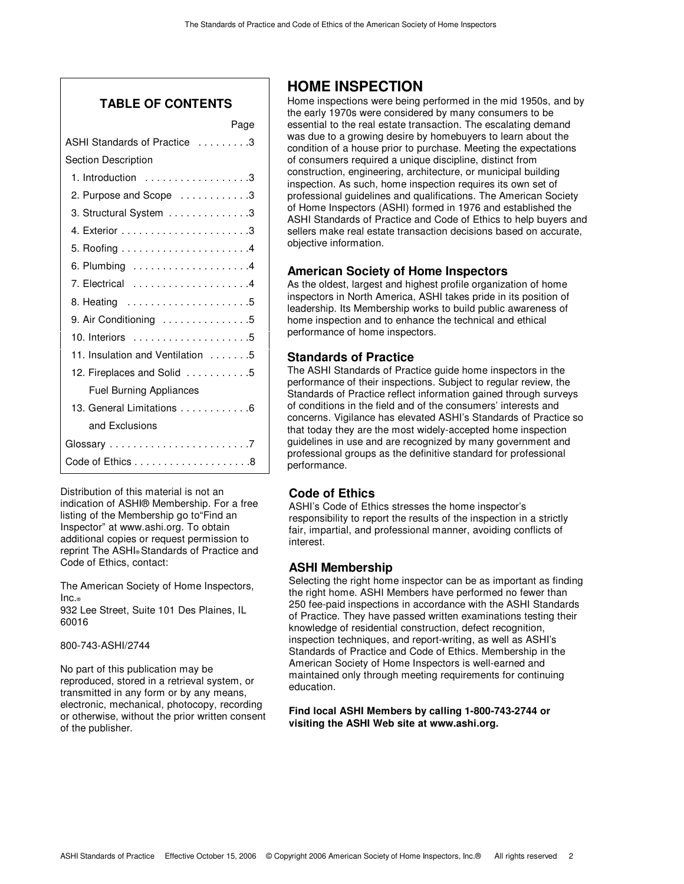## **TABLE OF CONTENTS**

Page

| ASHI Standards of Practice 3     |  |  |  |  |
|----------------------------------|--|--|--|--|
| Section Description              |  |  |  |  |
| 1. Introduction 3                |  |  |  |  |
| 2. Purpose and Scope 3           |  |  |  |  |
| 3. Structural System 3           |  |  |  |  |
|                                  |  |  |  |  |
|                                  |  |  |  |  |
|                                  |  |  |  |  |
| 7. Electrical 4                  |  |  |  |  |
|                                  |  |  |  |  |
| 9. Air Conditioning 5            |  |  |  |  |
|                                  |  |  |  |  |
| 11. Insulation and Ventilation 5 |  |  |  |  |
| 12. Fireplaces and Solid 5       |  |  |  |  |
| <b>Fuel Burning Appliances</b>   |  |  |  |  |
| 13. General Limitations 6        |  |  |  |  |
| and Exclusions                   |  |  |  |  |
|                                  |  |  |  |  |
|                                  |  |  |  |  |
|                                  |  |  |  |  |

Distribution of this material is not an indication of ASHI® Membership. For a free listing of the Membership go to"Find an Inspector" at www.ashi.org. To obtain additional copies or request permission to reprint The ASHI® Standards of Practice and Code of Ethics, contact:

The American Society of Home Inspectors,  $Inc._@$ 

932 Lee Street, Suite 101 Des Plaines, IL 60016

#### 800-743-ASHI/2744

No part of this publication may be reproduced, stored in a retrieval system, or transmitted in any form or by any means, electronic, mechanical, photocopy, recording or otherwise, without the prior written consent of the publisher.

## **HOME INSPECTION**

Home inspections were being performed in the mid 1950s, and by the early 1970s were considered by many consumers to be essential to the real estate transaction. The escalating demand was due to a growing desire by homebuyers to learn about the condition of a house prior to purchase. Meeting the expectations of consumers required a unique discipline, distinct from construction, engineering, architecture, or municipal building inspection. As such, home inspection requires its own set of professional guidelines and qualifications. The American Society of Home Inspectors (ASHI) formed in 1976 and established the ASHI Standards of Practice and Code of Ethics to help buyers and sellers make real estate transaction decisions based on accurate, objective information.

## **American Society of Home Inspectors**

As the oldest, largest and highest profile organization of home inspectors in North America, ASHI takes pride in its position of leadership. Its Membership works to build public awareness of home inspection and to enhance the technical and ethical performance of home inspectors.

## **Standards of Practice**

The ASHI Standards of Practice guide home inspectors in the performance of their inspections. Subject to regular review, the Standards of Practice reflect information gained through surveys of conditions in the field and of the consumers' interests and concerns. Vigilance has elevated ASHI's Standards of Practice so that today they are the most widely-accepted home inspection guidelines in use and are recognized by many government and professional groups as the definitive standard for professional performance.

## **Code of Ethics**

ASHI's Code of Ethics stresses the home inspector's responsibility to report the results of the inspection in a strictly fair, impartial, and professional manner, avoiding conflicts of interest.

## **ASHI Membership**

Selecting the right home inspector can be as important as finding the right home. ASHI Members have performed no fewer than 250 fee-paid inspections in accordance with the ASHI Standards of Practice. They have passed written examinations testing their knowledge of residential construction, defect recognition, inspection techniques, and report-writing, as well as ASHI's Standards of Practice and Code of Ethics. Membership in the American Society of Home Inspectors is well-earned and maintained only through meeting requirements for continuing education.

## **Find local ASHI Members by calling 1-800-743-2744 or visiting the ASHI Web site at www.ashi.org.**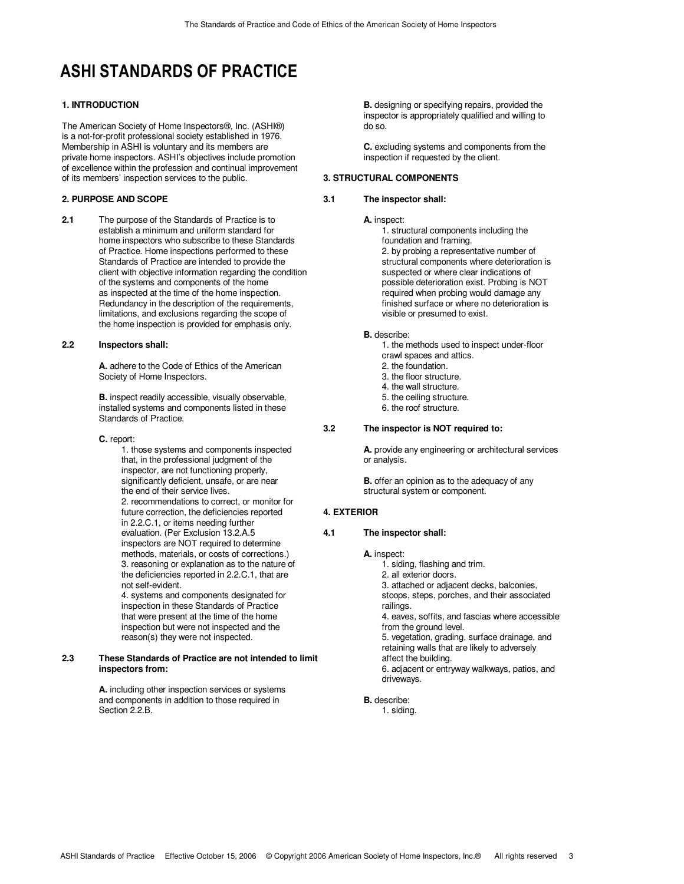## ASHI STANDARDS OF PRACTICE

## **1. INTRODUCTION**

The American Society of Home Inspectors®, Inc. (ASHI®) is a not-for-profit professional society established in 1976. Membership in ASHI is voluntary and its members are private home inspectors. ASHI's objectives include promotion of excellence within the profession and continual improvement of its members' inspection services to the public.

#### **2. PURPOSE AND SCOPE**

**2.1** The purpose of the Standards of Practice is to establish a minimum and uniform standard for home inspectors who subscribe to these Standards of Practice. Home inspections performed to these Standards of Practice are intended to provide the client with objective information regarding the condition of the systems and components of the home as inspected at the time of the home inspection. Redundancy in the description of the requirements, limitations, and exclusions regarding the scope of the home inspection is provided for emphasis only.

#### **2.2 Inspectors shall:**

 **A.** adhere to the Code of Ethics of the American Society of Home Inspectors.

 **B.** inspect readily accessible, visually observable, installed systems and components listed in these Standards of Practice.

**C.** report:

 1. those systems and components inspected that, in the professional judgment of the inspector, are not functioning properly, significantly deficient, unsafe, or are near the end of their service lives. 2. recommendations to correct, or monitor for future correction, the deficiencies reported in 2.2.C.1, or items needing further evaluation. (Per Exclusion 13.2.A.5 inspectors are NOT required to determine methods, materials, or costs of corrections.) 3. reasoning or explanation as to the nature of the deficiencies reported in 2.2.C.1, that are not self-evident.

 4. systems and components designated for inspection in these Standards of Practice that were present at the time of the home inspection but were not inspected and the reason(s) they were not inspected.

#### **2.3 These Standards of Practice are not intended to limit inspectors from:**

 **A.** including other inspection services or systems and components in addition to those required in Section 2.2.B.

 **B.** designing or specifying repairs, provided the inspector is appropriately qualified and willing to do so.

 **C.** excluding systems and components from the inspection if requested by the client.

#### **3. STRUCTURAL COMPONENTS**

#### **3.1 The inspector shall:**

#### **A.** inspect:

 1. structural components including the foundation and framing. 2. by probing a representative number of structural components where deterioration is suspected or where clear indications of possible deterioration exist. Probing is NOT required when probing would damage any finished surface or where no deterioration is visible or presumed to exist.

#### **B.** describe:

 1. the methods used to inspect under-floor crawl spaces and attics.

- 2. the foundation.
- 3. the floor structure.
- 4. the wall structure.
- 5. the ceiling structure.
- 6. the roof structure.

#### **3.2 The inspector is NOT required to:**

 **A.** provide any engineering or architectural services or analysis.

 **B.** offer an opinion as to the adequacy of any structural system or component.

#### **4. EXTERIOR**

#### **4.1 The inspector shall:**

- **A.** inspect:
	- 1. siding, flashing and trim.
	- 2. all exterior doors.

3. attached or adjacent decks, balconies,

 stoops, steps, porches, and their associated railings.

 4. eaves, soffits, and fascias where accessible from the ground level.

 5. vegetation, grading, surface drainage, and retaining walls that are likely to adversely affect the building.

 6. adjacent or entryway walkways, patios, and driveways.

#### **B.** describe:

1. siding.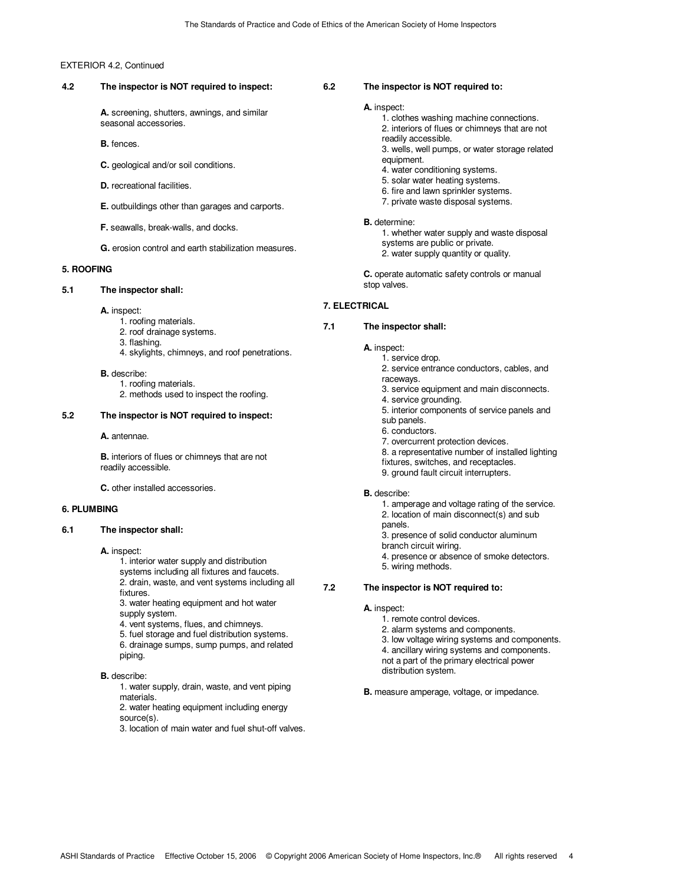#### EXTERIOR 4.2, Continued

#### **4.2 The inspector is NOT required to inspect:**

 **A.** screening, shutters, awnings, and similar seasonal accessories.

**B.** fences.

- **C.** geological and/or soil conditions.
- **D.** recreational facilities.
- **E.** outbuildings other than garages and carports.
- **F.** seawalls, break-walls, and docks.
- **G.** erosion control and earth stabilization measures.

#### **5. ROOFING**

#### **5.1 The inspector shall:**

#### **A.** inspect:

- 1. roofing materials.
- 2. roof drainage systems.
- 3. flashing.
- 4. skylights, chimneys, and roof penetrations.
- **B.** describe:
	- 1. roofing materials.
	- 2. methods used to inspect the roofing.

#### **5.2 The inspector is NOT required to inspect:**

#### **A.** antennae.

 **B.** interiors of flues or chimneys that are not readily accessible.

**C.** other installed accessories.

#### **6. PLUMBING**

#### **6.1 The inspector shall:**

#### **A.** inspect:

 1. interior water supply and distribution systems including all fixtures and faucets. 2. drain, waste, and vent systems including all fixtures. 3. water heating equipment and hot water supply system.

4. vent systems, flues, and chimneys.

5. fuel storage and fuel distribution systems.

 6. drainage sumps, sump pumps, and related piping.

#### **B.** describe:

 1. water supply, drain, waste, and vent piping materials.

2. water heating equipment including energy

- source(s).
- 3. location of main water and fuel shut-off valves.

#### **6.2 The inspector is NOT required to:**

#### **A.** inspect:

 1. clothes washing machine connections. 2. interiors of flues or chimneys that are not readily accessible.

 3. wells, well pumps, or water storage related equipment.

- 4. water conditioning systems.
- 5. solar water heating systems.
- 6. fire and lawn sprinkler systems.
- 7. private waste disposal systems.

**B.** determine:

- 1. whether water supply and waste disposal systems are public or private.
- 2. water supply quantity or quality.

 **C.** operate automatic safety controls or manual stop valves.

#### **7. ELECTRICAL**

#### **7.1 The inspector shall:**

**A.** inspect:

- 1. service drop.
	- 2. service entrance conductors, cables, and raceways.
	- 3. service equipment and main disconnects.
	- 4. service grounding.
	- 5. interior components of service panels and
	- sub panels.
	- 6. conductors.
	- 7. overcurrent protection devices.
	- 8. a representative number of installed lighting fixtures, switches, and receptacles. 9. ground fault circuit interrupters.

#### **B.** describe:

- 1. amperage and voltage rating of the service. 2. location of main disconnect(s) and sub
- panels.
- 3. presence of solid conductor aluminum
- branch circuit wiring.
- 4. presence or absence of smoke detectors.
- 5. wiring methods.

### **7.2 The inspector is NOT required to:**

#### **A.** inspect:

- 1. remote control devices.
- 2. alarm systems and components.
- 3. low voltage wiring systems and components.
- 4. ancillary wiring systems and components.
- not a part of the primary electrical power
- distribution system.

**B.** measure amperage, voltage, or impedance.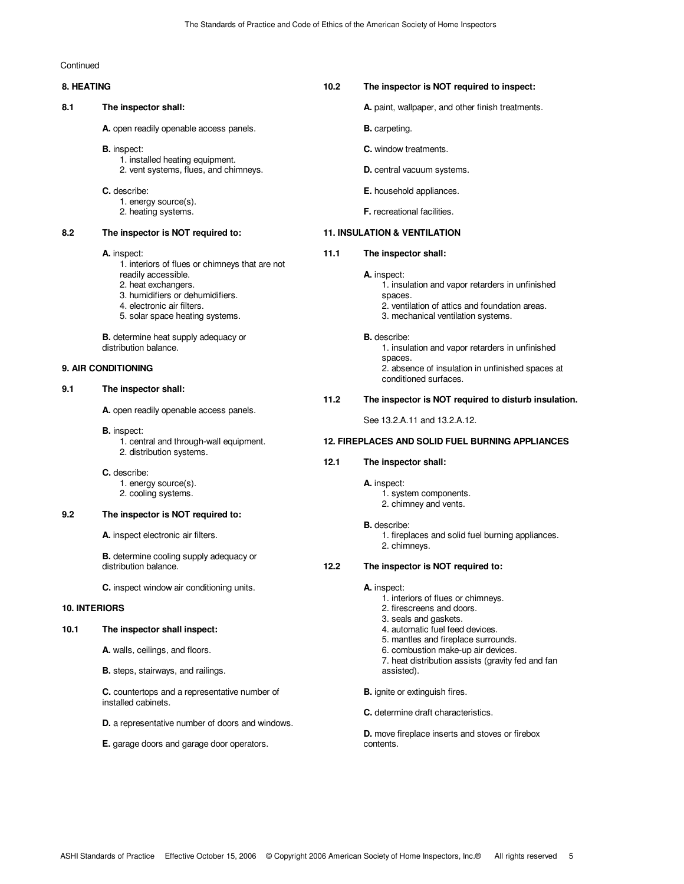### Continued

| <b>8. HEATING</b>          |                                                                                          | 10.2 | The inspector is NOT required to inspect:                                               |  |
|----------------------------|------------------------------------------------------------------------------------------|------|-----------------------------------------------------------------------------------------|--|
| 8.1                        | The inspector shall:                                                                     |      | A. paint, wallpaper, and other finish treatments.                                       |  |
|                            | A. open readily openable access panels.                                                  |      | <b>B.</b> carpeting.                                                                    |  |
|                            | <b>B.</b> inspect:<br>1. installed heating equipment.                                    |      | <b>C.</b> window treatments.                                                            |  |
|                            | 2. vent systems, flues, and chimneys.                                                    |      | D. central vacuum systems.                                                              |  |
|                            | <b>C.</b> describe:<br>1. energy source(s).                                              |      | E. household appliances.                                                                |  |
|                            | 2. heating systems.                                                                      |      | <b>F.</b> recreational facilities.                                                      |  |
| 8.2                        | The inspector is NOT required to:                                                        |      | <b>11. INSULATION &amp; VENTILATION</b>                                                 |  |
|                            | A. inspect:<br>1. interiors of flues or chimneys that are not                            | 11.1 | The inspector shall:                                                                    |  |
|                            | readily accessible.                                                                      |      | A. inspect:                                                                             |  |
|                            | 2. heat exchangers.                                                                      |      | 1. insulation and vapor retarders in unfinished                                         |  |
|                            | 3. humidifiers or dehumidifiers.<br>4. electronic air filters.                           |      | spaces.<br>2. ventilation of attics and foundation areas.                               |  |
|                            | 5. solar space heating systems.                                                          |      | 3. mechanical ventilation systems.                                                      |  |
|                            | <b>B.</b> determine heat supply adequacy or                                              |      | <b>B.</b> describe:                                                                     |  |
|                            | distribution balance.                                                                    |      | 1. insulation and vapor retarders in unfinished<br>spaces.                              |  |
| <b>9. AIR CONDITIONING</b> |                                                                                          |      | 2. absence of insulation in unfinished spaces at<br>conditioned surfaces.               |  |
| 9.1                        | The inspector shall:                                                                     | 11.2 | The inspector is NOT required to disturb insulation.                                    |  |
|                            | A. open readily openable access panels.                                                  |      |                                                                                         |  |
|                            |                                                                                          |      | See 13.2.A.11 and 13.2.A.12.                                                            |  |
|                            | <b>B.</b> inspect:<br>1. central and through-wall equipment.<br>2. distribution systems. |      | <b>12. FIREPLACES AND SOLID FUEL BURNING APPLIANCES</b>                                 |  |
|                            | C. describe:                                                                             | 12.1 | The inspector shall:                                                                    |  |
|                            | 1. energy source(s).                                                                     |      | A. inspect:                                                                             |  |
|                            | 2. cooling systems.                                                                      |      | 1. system components.                                                                   |  |
|                            |                                                                                          |      | 2. chimney and vents.                                                                   |  |
| 9.2                        | The inspector is NOT required to:                                                        |      | <b>B.</b> describe:                                                                     |  |
|                            | A. inspect electronic air filters.                                                       |      | 1. fireplaces and solid fuel burning appliances.                                        |  |
|                            |                                                                                          |      | 2. chimneys.                                                                            |  |
|                            | <b>B.</b> determine cooling supply adequacy or                                           |      |                                                                                         |  |
|                            | distribution balance.                                                                    | 12.2 | The inspector is NOT required to:                                                       |  |
|                            | C. inspect window air conditioning units.                                                |      | A. inspect:                                                                             |  |
| <b>10. INTERIORS</b>       |                                                                                          |      | 1. interiors of flues or chimneys.<br>2. firescreens and doors.                         |  |
|                            |                                                                                          |      | 3. seals and gaskets.                                                                   |  |
| 10.1                       | The inspector shall inspect:                                                             |      | 4. automatic fuel feed devices.                                                         |  |
|                            |                                                                                          |      | 5. mantles and fireplace surrounds.                                                     |  |
|                            | A. walls, ceilings, and floors.                                                          |      | 6. combustion make-up air devices.<br>7. heat distribution assists (gravity fed and fan |  |
|                            | <b>B.</b> steps, stairways, and railings.                                                |      | assisted).                                                                              |  |
|                            | C. countertops and a representative number of<br>installed cabinets.                     |      | <b>B.</b> ignite or extinguish fires.                                                   |  |
|                            | <b>D.</b> a representative number of doors and windows.                                  |      | C. determine draft characteristics.                                                     |  |
|                            |                                                                                          |      | <b>D.</b> move fireplace inserts and stoves or firebox                                  |  |
|                            | <b>E.</b> garage doors and garage door operators.                                        |      | contents.                                                                               |  |
|                            |                                                                                          |      |                                                                                         |  |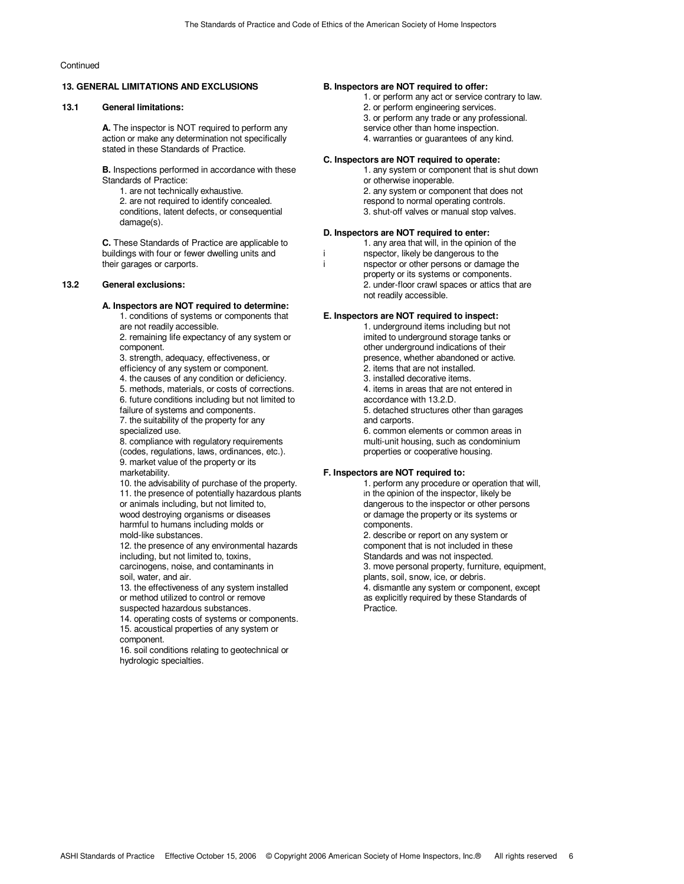**Continued** 

#### **13. GENERAL LIMITATIONS AND EXCLUSIONS**

#### **13.1 General limitations:**

 **A.** The inspector is NOT required to perform any action or make any determination not specifically stated in these Standards of Practice.

 **B.** Inspections performed in accordance with these Standards of Practice:

 1. are not technically exhaustive. 2. are not required to identify concealed. conditions, latent defects, or consequential damage(s).

 **C.** These Standards of Practice are applicable to buildings with four or fewer dwelling units and their garages or carports.

#### **13.2 General exclusions:**

#### **A. Inspectors are NOT required to determine:**

 1. conditions of systems or components that are not readily accessible.

 2. remaining life expectancy of any system or component.

3. strength, adequacy, effectiveness, or

efficiency of any system or component.

4. the causes of any condition or deficiency.

5. methods, materials, or costs of corrections.

6. future conditions including but not limited to

 failure of systems and components. 7. the suitability of the property for any

specialized use.

 8. compliance with regulatory requirements (codes, regulations, laws, ordinances, etc.). 9. market value of the property or its marketability.

 10. the advisability of purchase of the property. 11. the presence of potentially hazardous plants or animals including, but not limited to, wood destroying organisms or diseases harmful to humans including molds or mold-like substances.

 12. the presence of any environmental hazards including, but not limited to, toxins,

 carcinogens, noise, and contaminants in soil, water, and air.

 13. the effectiveness of any system installed or method utilized to control or remove suspected hazardous substances.

 14. operating costs of systems or components. 15. acoustical properties of any system or component.

 16. soil conditions relating to geotechnical or hydrologic specialties.

#### **B. Inspectors are NOT required to offer:**

 1. or perform any act or service contrary to law. 2. or perform engineering services. 3. or perform any trade or any professional. service other than home inspection. 4. warranties or guarantees of any kind.

#### **C. Inspectors are NOT required to operate:**

 1. any system or component that is shut down or otherwise inoperable. 2. any system or component that does not respond to normal operating controls. 3. shut-off valves or manual stop valves.

#### **D. Inspectors are NOT required to enter:**

1. any area that will, in the opinion of the

i nspector, likely be dangerous to the i nspector or other persons or damage the property or its systems or components. 2. under-floor crawl spaces or attics that are not readily accessible.

#### **E. Inspectors are NOT required to inspect:**

 1. underground items including but not imited to underground storage tanks or other underground indications of their presence, whether abandoned or active. 2. items that are not installed. 3. installed decorative items. 4. items in areas that are not entered in accordance with 13.2.D. 5. detached structures other than garages and carports.

 6. common elements or common areas in multi-unit housing, such as condominium properties or cooperative housing.

#### **F. Inspectors are NOT required to:**

 1. perform any procedure or operation that will, in the opinion of the inspector, likely be dangerous to the inspector or other persons or damage the property or its systems or components.

 2. describe or report on any system or component that is not included in these Standards and was not inspected.

 3. move personal property, furniture, equipment, plants, soil, snow, ice, or debris. 4. dismantle any system or component, except as explicitly required by these Standards of Practice.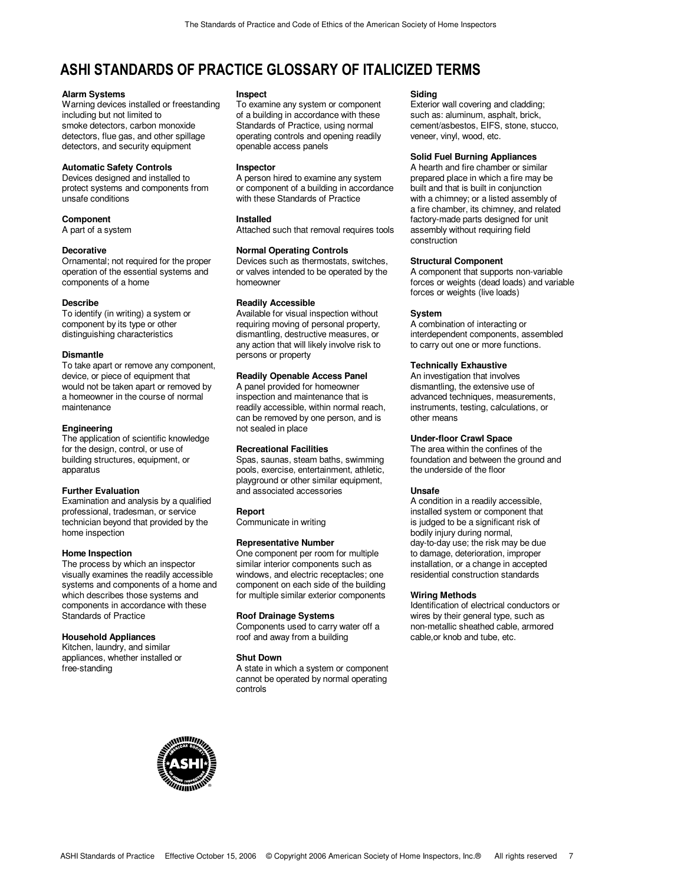## ASHI STANDARDS OF PRACTICE GLOSSARY OF ITALICIZED TERMS

#### **Alarm Systems**

Warning devices installed or freestanding including but not limited to smoke detectors, carbon monoxide detectors, flue gas, and other spillage detectors, and security equipment

#### **Automatic Safety Controls**

Devices designed and installed to protect systems and components from unsafe conditions

#### **Component**

A part of a system

#### **Decorative**

Ornamental; not required for the proper operation of the essential systems and components of a home

#### **Describe**

To identify (in writing) a system or component by its type or other distinguishing characteristics

#### **Dismantle**

To take apart or remove any component, device, or piece of equipment that would not be taken apart or removed by a homeowner in the course of normal maintenance

#### **Engineering**

The application of scientific knowledge for the design, control, or use of building structures, equipment, or apparatus

#### **Further Evaluation**

Examination and analysis by a qualified professional, tradesman, or service technician beyond that provided by the home inspection

#### **Home Inspection**

The process by which an inspector visually examines the readily accessible systems and components of a home and which describes those systems and components in accordance with these Standards of Practice

#### **Household Appliances**

Kitchen, laundry, and similar appliances, whether installed or free-standing

#### **Inspect**

To examine any system or component of a building in accordance with these Standards of Practice, using normal operating controls and opening readily openable access panels

#### **Inspector**

A person hired to examine any system or component of a building in accordance with these Standards of Practice

#### **Installed**

Attached such that removal requires tools

#### **Normal Operating Controls**

Devices such as thermostats, switches, or valves intended to be operated by the homeowner

#### **Readily Accessible**

Available for visual inspection without requiring moving of personal property, dismantling, destructive measures, or any action that will likely involve risk to persons or property

#### **Readily Openable Access Panel**

A panel provided for homeowner inspection and maintenance that is readily accessible, within normal reach, can be removed by one person, and is not sealed in place

#### **Recreational Facilities**

Spas, saunas, steam baths, swimming pools, exercise, entertainment, athletic, playground or other similar equipment, and associated accessories

#### **Report**

Communicate in writing

#### **Representative Number**

One component per room for multiple similar interior components such as windows, and electric receptacles; one component on each side of the building for multiple similar exterior components

#### **Roof Drainage Systems**

Components used to carry water off a roof and away from a building

#### **Shut Down**

A state in which a system or component cannot be operated by normal operating controls

#### **Siding**

Exterior wall covering and cladding; such as: aluminum, asphalt, brick, cement/asbestos, EIFS, stone, stucco, veneer, vinyl, wood, etc.

#### **Solid Fuel Burning Appliances**

A hearth and fire chamber or similar prepared place in which a fire may be built and that is built in conjunction with a chimney; or a listed assembly of a fire chamber, its chimney, and related factory-made parts designed for unit assembly without requiring field construction

#### **Structural Component**

A component that supports non-variable forces or weights (dead loads) and variable forces or weights (live loads)

#### **System**

A combination of interacting or interdependent components, assembled to carry out one or more functions.

#### **Technically Exhaustive**

An investigation that involves dismantling, the extensive use of advanced techniques, measurements, instruments, testing, calculations, or other means

#### **Under-floor Crawl Space**

The area within the confines of the foundation and between the ground and the underside of the floor

#### **Unsafe**

A condition in a readily accessible, installed system or component that is judged to be a significant risk of bodily injury during normal, day-to-day use; the risk may be due to damage, deterioration, improper installation, or a change in accepted residential construction standards

#### **Wiring Methods**

Identification of electrical conductors or wires by their general type, such as non-metallic sheathed cable, armored cable,or knob and tube, etc.